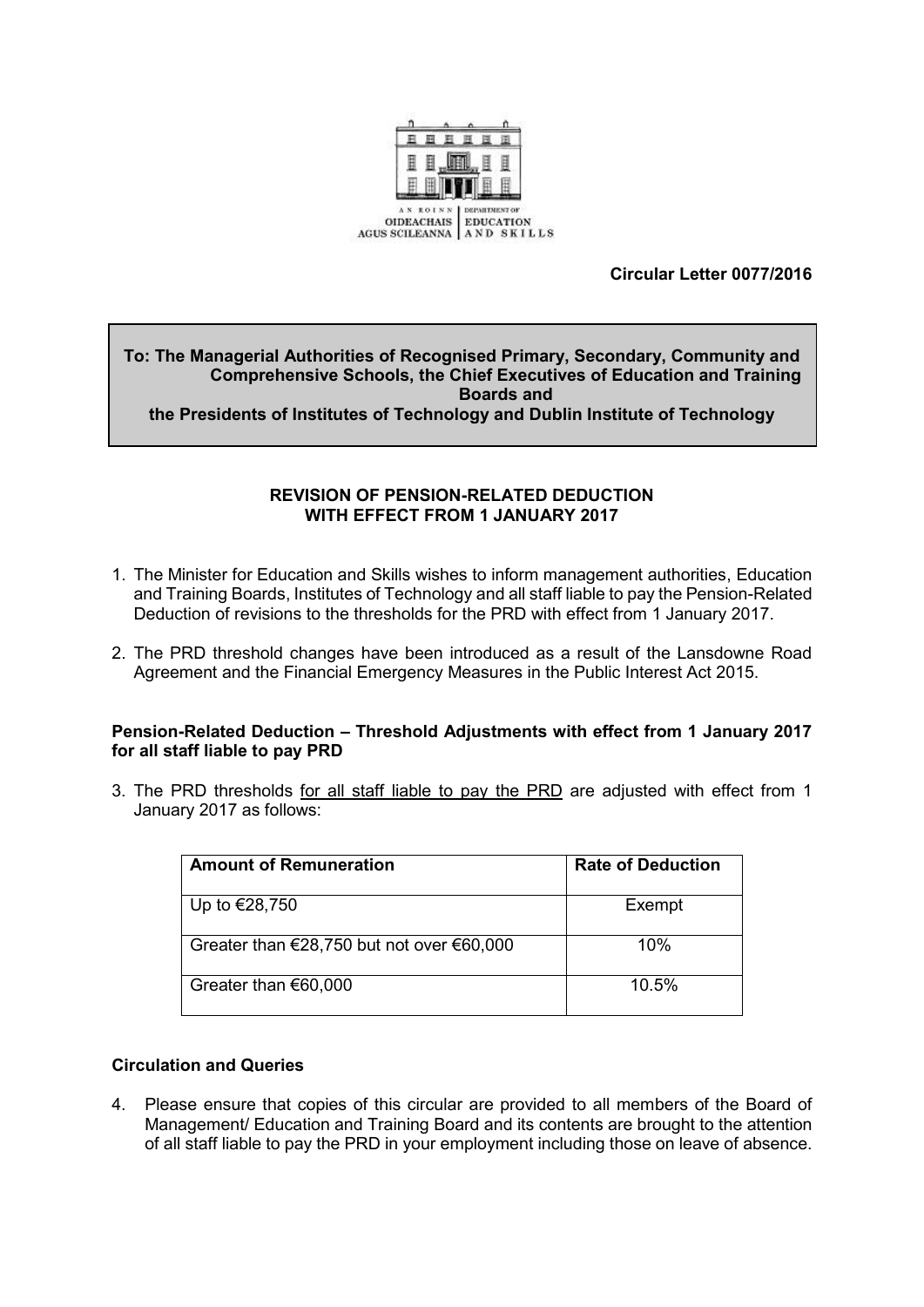

# **Circular Letter 0077/2016**

# **To: The Managerial Authorities of Recognised Primary, Secondary, Community and Comprehensive Schools, the Chief Executives of Education and Training Boards and**

**the Presidents of Institutes of Technology and Dublin Institute of Technology**

### **REVISION OF PENSION-RELATED DEDUCTION WITH EFFECT FROM 1 JANUARY 2017**

- 1. The Minister for Education and Skills wishes to inform management authorities, Education and Training Boards, Institutes of Technology and all staff liable to pay the Pension-Related Deduction of revisions to the thresholds for the PRD with effect from 1 January 2017.
- 2. The PRD threshold changes have been introduced as a result of the Lansdowne Road Agreement and the Financial Emergency Measures in the Public Interest Act 2015.

#### **Pension-Related Deduction – Threshold Adjustments with effect from 1 January 2017 for all staff liable to pay PRD**

3. The PRD thresholds for all staff liable to pay the PRD are adjusted with effect from 1 January 2017 as follows:

| <b>Amount of Remuneration</b>                                 | <b>Rate of Deduction</b> |
|---------------------------------------------------------------|--------------------------|
| Up to €28,750                                                 | Exempt                   |
| Greater than $\epsilon$ 28,750 but not over $\epsilon$ 60,000 | 10%                      |
| Greater than €60,000                                          | 10.5%                    |

# **Circulation and Queries**

4. Please ensure that copies of this circular are provided to all members of the Board of Management/ Education and Training Board and its contents are brought to the attention of all staff liable to pay the PRD in your employment including those on leave of absence.